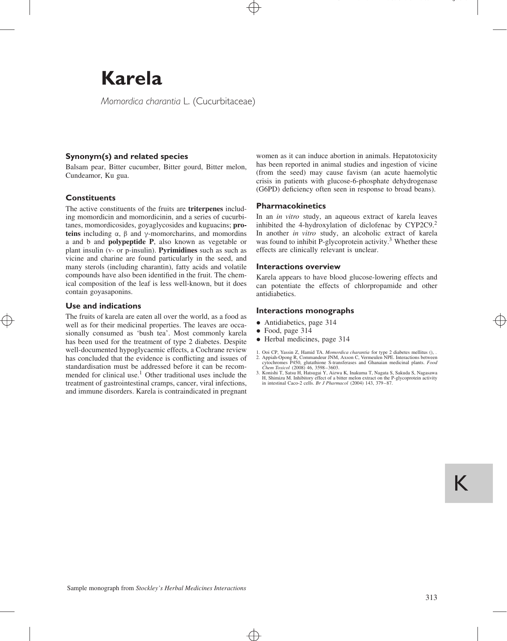# **Karela**

*Momordica charantia* L. (Cucurbitaceae)

# **Synonym(s) and related species**

Balsam pear, Bitter cucumber, Bitter gourd, Bitter melon, Cundeamor, Ku gua.

# **Constituents**

The active constituents of the fruits are **triterpenes** including momordicin and momordicinin, and a series of cucurbitanes, momordicosides, goyaglycosides and kuguacins; **proteins** including  $\alpha$ ,  $\beta$  and  $\gamma$ -momorcharins, and momordins a and b and **polypeptide P**, also known as vegetable or plant insulin (v- or p-insulin). **Pyrimidines** such as such as vicine and charine are found particularly in the seed, and many sterols (including charantin), fatty acids and volatile compounds have also been identified in the fruit. The chemical composition of the leaf is less well-known, but it does contain goyasaponins.

## **Use and indications**

The fruits of karela are eaten all over the world, as a food as well as for their medicinal properties. The leaves are occasionally consumed as 'bush tea'. Most commonly karela has been used for the treatment of type 2 diabetes. Despite well-documented hypoglycaemic effects, a Cochrane review has concluded that the evidence is conflicting and issues of standardisation must be addressed before it can be recommended for clinical use.<sup>1</sup> Other traditional uses include the treatment of gastrointestinal cramps, cancer, viral infections, and immune disorders. Karela is contraindicated in pregnant

women as it can induce abortion in animals. Hepatotoxicity has been reported in animal studies and ingestion of vicine (from the seed) may cause favism (an acute haemolytic crisis in patients with glucose-6-phosphate dehydrogenase (G6PD) deficiency often seen in response to broad beans).

## **Pharmacokinetics**

In an *in vitro* study, an aqueous extract of karela leaves inhibited the 4-hydroxylation of diclofenac by CYP2C9.<sup>2</sup> In another *in vitro* study, an alcoholic extract of karela was found to inhibit P-glycoprotein activity.<sup>3</sup> Whether these effects are clinically relevant is unclear.

### **Interactions overview**

Karela appears to have blood glucose-lowering effects and can potentiate the effects of chlorpropamide and other antidiabetics.

## **Interactions monographs**

- Antidiabetics, page 314
- Food, page 314
- Herbal medicines, page 314
- 
- 1. Ooi CP, Yassin Z, Hamid TA. *Momordica charantia* for type 2 diabetes mellitus (), . Appiah-Opong R, Commandeur JNM, Axson C, Vermeulen NPE. Interactions between cyclochromes P450, glutathione S-ransferases and Ghanaian *Chem Toxicol* (2008) 46, 3598–3603.
- 3. Konishi T, Satsu H, Hatsugai Y, Aizwa K, Inakuma T, Nagata S, Sakuda S, Nagasawa H, Shimizu M. Inhibitory effect of a bitter melon extract on the P-glycoprotein activity in intestinal Caco-2 cells. *Br J Pharmacol* (2004) 143, 379–87.